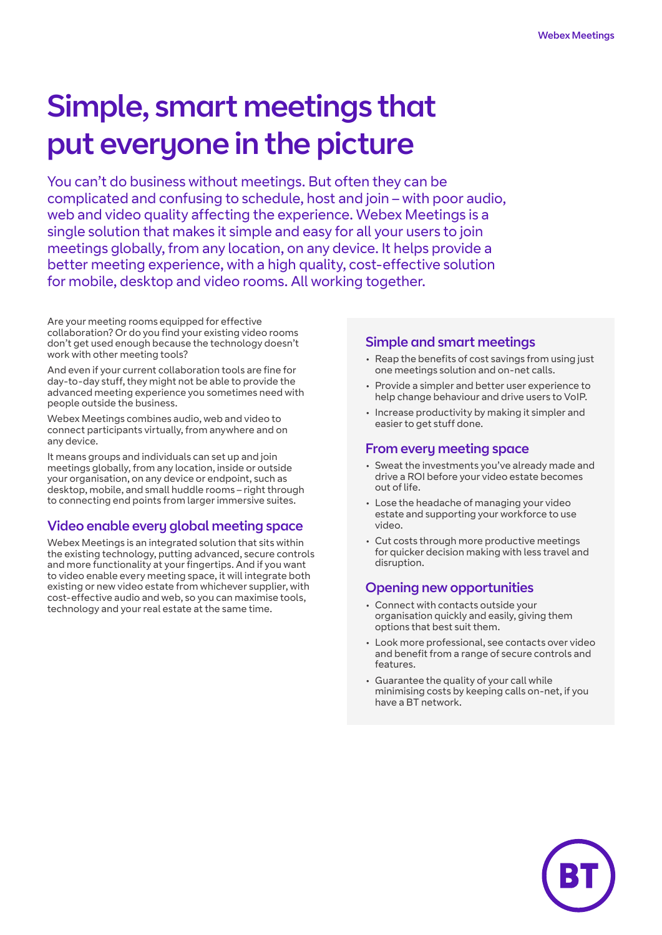# Simple, smart meetings that put everyone in the picture

You can't do business without meetings. But often they can be complicated and confusing to schedule, host and join – with poor audio, web and video quality affecting the experience. Webex Meetings is a single solution that makes it simple and easy for all your users to join meetings globally, from any location, on any device. It helps provide a better meeting experience, with a high quality, cost-effective solution for mobile, desktop and video rooms. All working together.

Are your meeting rooms equipped for effective collaboration? Or do you find your existing video rooms don't get used enough because the technology doesn't work with other meeting tools?

And even if your current collaboration tools are fine for day-to-day stuff, they might not be able to provide the advanced meeting experience you sometimes need with people outside the business.

Webex Meetings combines audio, web and video to connect participants virtually, from anywhere and on any device.

It means groups and individuals can set up and join meetings globally, from any location, inside or outside your organisation, on any device or endpoint, such as desktop, mobile, and small huddle rooms – right through to connecting end points from larger immersive suites.

# Video enable every global meeting space

Webex Meetings is an integrated solution that sits within the existing technology, putting advanced, secure controls and more functionality at your fingertips. And if you want to video enable every meeting space, it will integrate both existing or new video estate from whichever supplier, with cost-effective audio and web, so you can maximise tools, technology and your real estate at the same time.

#### Simple and smart meetings

- Reap the benefits of cost savings from using just one meetings solution and on-net calls.
- Provide a simpler and better user experience to help change behaviour and drive users to VoIP.
- Increase productivity by making it simpler and easier to get stuff done.

#### From every meeting space

- Sweat the investments you've already made and drive a ROI before your video estate becomes out of life.
- Lose the headache of managing your video estate and supporting your workforce to use video.
- Cut costs through more productive meetings for quicker decision making with less travel and disruption.

### Opening new opportunities

- Connect with contacts outside your organisation quickly and easily, giving them options that best suit them.
- Look more professional, see contacts over video and benefit from a range of secure controls and features.
- Guarantee the quality of your call while minimising costs by keeping calls on-net, if you have a BT network.